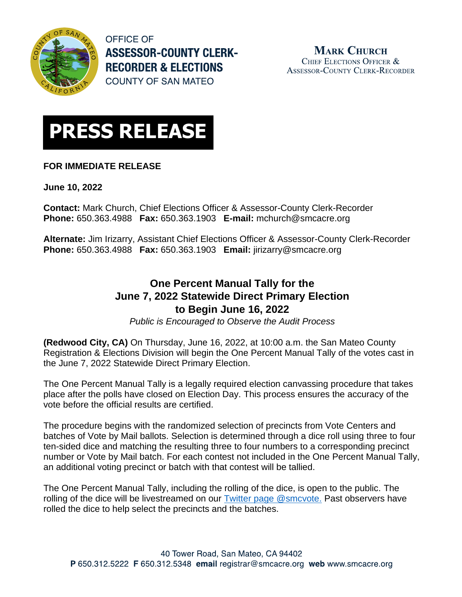

**OFFICE OF ASSESSOR-COUNTY CLERK-RECORDER & ELECTIONS COUNTY OF SAN MATEO** 



## **FOR IMMEDIATE RELEASE**

**June 10, 2022**

**Contact:** Mark Church, Chief Elections Officer & Assessor-County Clerk-Recorder **Phone:** 650.363.4988 **Fax:** 650.363.1903 **E-mail:** [mchurch@smcacre.org](mailto:mchurch@smcacre.org)

**Alternate:** Jim Irizarry, Assistant Chief Elections Officer & Assessor-County Clerk-Recorder **Phone:** 650.363.4988 **Fax:** 650.363.1903 **Email:** [jirizarry@smcacre.org](mailto:jirizarry@smcacre.org)

## **One Percent Manual Tally for the June 7, 2022 Statewide Direct Primary Election to Begin June 16, 2022**

*Public is Encouraged to Observe the Audit Process*

**(Redwood City, CA)** On Thursday, June 16, 2022, at 10:00 a.m. the San Mateo County Registration & Elections Division will begin the One Percent Manual Tally of the votes cast in the June 7, 2022 Statewide Direct Primary Election.

The One Percent Manual Tally is a legally required election canvassing procedure that takes place after the polls have closed on Election Day. This process ensures the accuracy of the vote before the official results are certified.

The procedure begins with the randomized selection of precincts from Vote Centers and batches of Vote by Mail ballots. Selection is determined through a dice roll using three to four ten-sided dice and matching the resulting three to four numbers to a corresponding precinct number or Vote by Mail batch. For each contest not included in the One Percent Manual Tally, an additional voting precinct or batch with that contest will be tallied.

The One Percent Manual Tally, including the rolling of the dice, is open to the public. The rolling of the dice will be livestreamed on our [Twitter page @smcvote.](http://www.twitter.com/smcvote) Past observers have rolled the dice to help select the precincts and the batches.